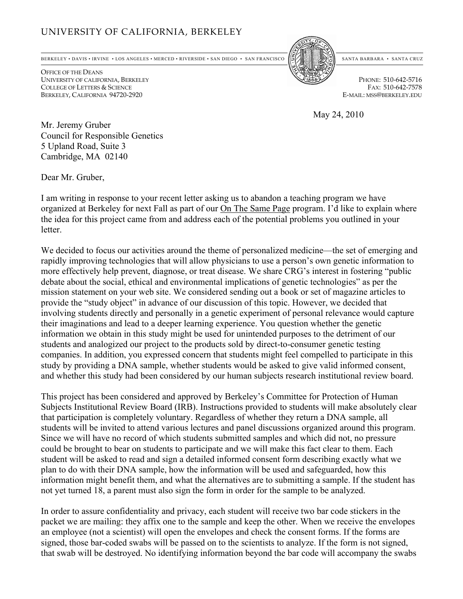## UNIVERSITY OF CALIFORNIA, BERKELEY

BERKELEY • DAVIS • IRVINE • LOS ANGELES • MERCED • RIVERSIDE • SAN DIEGO • SAN FRANCISCO 55/ SANTA BARBARA • SANTA CRUZ

OFFICE OF THE DEANS UNIVERSITY OF CALIFORNIA, BERKELEY PHONE: 510-642-5716 COLLEGE OF LETTERS & SCIENCE FAX: 510-642-7578<br>Berkeley, California 94720-2920 Fax: 510-642-7578 BERKELEY, CALIFORNIA 94720-2920



May 24, 2010

Mr. Jeremy Gruber Council for Responsible Genetics 5 Upland Road, Suite 3 Cambridge, MA 02140

Dear Mr. Gruber,

I am writing in response to your recent letter asking us to abandon a teaching program we have organized at Berkeley for next Fall as part of our On The Same Page program. I'd like to explain where the idea for this project came from and address each of the potential problems you outlined in your letter.

We decided to focus our activities around the theme of personalized medicine—the set of emerging and rapidly improving technologies that will allow physicians to use a person's own genetic information to more effectively help prevent, diagnose, or treat disease. We share CRG's interest in fostering "public debate about the social, ethical and environmental implications of genetic technologies" as per the mission statement on your web site. We considered sending out a book or set of magazine articles to provide the "study object" in advance of our discussion of this topic. However, we decided that involving students directly and personally in a genetic experiment of personal relevance would capture their imaginations and lead to a deeper learning experience. You question whether the genetic information we obtain in this study might be used for unintended purposes to the detriment of our students and analogized our project to the products sold by direct-to-consumer genetic testing companies. In addition, you expressed concern that students might feel compelled to participate in this study by providing a DNA sample, whether students would be asked to give valid informed consent, and whether this study had been considered by our human subjects research institutional review board.

This project has been considered and approved by Berkeley's Committee for Protection of Human Subjects Institutional Review Board (IRB). Instructions provided to students will make absolutely clear that participation is completely voluntary. Regardless of whether they return a DNA sample, all students will be invited to attend various lectures and panel discussions organized around this program. Since we will have no record of which students submitted samples and which did not, no pressure could be brought to bear on students to participate and we will make this fact clear to them. Each student will be asked to read and sign a detailed informed consent form describing exactly what we plan to do with their DNA sample, how the information will be used and safeguarded, how this information might benefit them, and what the alternatives are to submitting a sample. If the student has not yet turned 18, a parent must also sign the form in order for the sample to be analyzed.

In order to assure confidentiality and privacy, each student will receive two bar code stickers in the packet we are mailing: they affix one to the sample and keep the other. When we receive the envelopes an employee (not a scientist) will open the envelopes and check the consent forms. If the forms are signed, those bar-coded swabs will be passed on to the scientists to analyze. If the form is not signed, that swab will be destroyed. No identifying information beyond the bar code will accompany the swabs